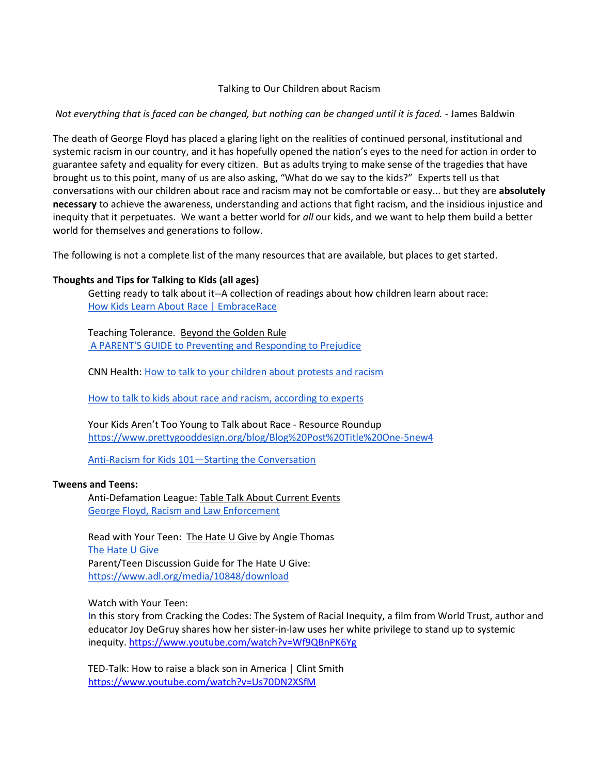### Talking to Our Children about Racism

## *Not everything that is faced can be changed, but nothing can be changed until it is faced.* - James Baldwin

The death of George Floyd has placed a glaring light on the realities of continued personal, institutional and systemic racism in our country, and it has hopefully opened the nation's eyes to the need for action in order to guarantee safety and equality for every citizen. But as adults trying to make sense of the tragedies that have brought us to this point, many of us are also asking, "What do we say to the kids?" Experts tell us that conversations with our children about race and racism may not be comfortable or easy... but they are **absolutely necessary** to achieve the awareness, understanding and actions that fight racism, and the insidious injustice and inequity that it perpetuates. We want a better world for *all* our kids, and we want to help them build a better world for themselves and generations to follow.

The following is not a complete list of the many resources that are available, but places to get started.

# **Thoughts and Tips for Talking to Kids (all ages)**

Getting ready to talk about it--A collection of readings about how children learn about race: [How Kids Learn About Race | EmbraceRace](https://www.embracerace.org/resources/topic/how-kids-learn-about-race)

Teaching Tolerance. Beyond the Golden Rule [A PARENT'S GUIDE to Preventing and Responding to Prejudice](https://www.tolerance.org/sites/default/files/general/beyond_golden_rule.pdf)

CNN Health[: How to talk to your children about protests and racism](https://www.cnn.com/2020/06/01/health/protests-racism-talk-to-children-wellness/index.html)

[How to talk to kids about race and racism, according to experts](http://www.parenttoolkit.com/social-and-emotional-development/advice/social-awareness/how-to-talk-to-kids-about-race-and-racism)

Your Kids Aren't Too Young to Talk about Race - Resource Roundup <https://www.prettygooddesign.org/blog/Blog%20Post%20Title%20One-5new4>

Anti-Racism for Kids 101—[Starting the Conversation](https://booksforlittles.com/racial-diversity/?fbclid=IwAR39vJQQyCnHfhF0m66o67GnGgR9BuWclmDQJXBQuUwznf1-YxaZxSzM_l4)

### **Tweens and Teens:**

Anti-Defamation League: Table Talk About Current Events [George Floyd, Racism and Law Enforcement](https://www.adl.org/education/resources/tools-and-strategies/george-floyd-racism-and-law-enforcement)

Read with Your Teen: The Hate U Give by Angie Thomas [The Hate U Give](https://www.adl.org/education/educator-resources/childrens-literature/the-hate-u-give) Parent/Teen Discussion Guide for The Hate U Give: <https://www.adl.org/media/10848/download>

Watch with Your Teen:

In this story from Cracking the Codes: The System of Racial Inequity, a film from World Trust, author and educator Joy DeGruy shares how her sister-in-law uses her white privilege to stand up to systemic inequity. <https://www.youtube.com/watch?v=Wf9QBnPK6Yg>

TED-Talk: How to raise a black son in America | Clint Smith <https://www.youtube.com/watch?v=Us70DN2XSfM>